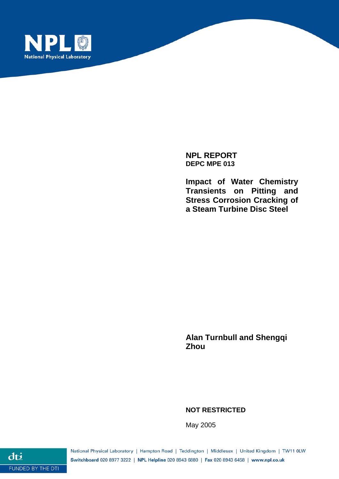

**NPL REPORT DEPC MPE 013** 

**Impact of Water Chemistry Transients on Pitting and Stress Corrosion Cracking of a Steam Turbine Disc Steel** 

**Alan Turnbull and Shengqi Zhou** 

**NOT RESTRICTED** 

May 2005

National Physical Laboratory | Hampton Road | Teddington | Middlesex | United Kingdom | TW11 0LW Switchboard 020 8977 3222 | NPL Helpline 020 8943 6880 | Fax 020 8943 6458 | www.npl.co.uk

dti FUNDED BY THE DTI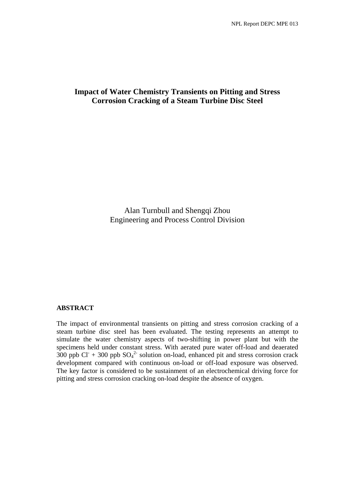## **Impact of Water Chemistry Transients on Pitting and Stress Corrosion Cracking of a Steam Turbine Disc Steel**

Alan Turnbull and Shengqi Zhou Engineering and Process Control Division

## **ABSTRACT**

The impact of environmental transients on pitting and stress corrosion cracking of a steam turbine disc steel has been evaluated. The testing represents an attempt to simulate the water chemistry aspects of two-shifting in power plant but with the specimens held under constant stress. With aerated pure water off-load and deaerated  $300$  ppb Cl<sup>-</sup> + 300 ppb SO<sub>4</sub><sup>2-</sup> solution on-load, enhanced pit and stress corrosion crack development compared with continuous on-load or off-load exposure was observed. The key factor is considered to be sustainment of an electrochemical driving force for pitting and stress corrosion cracking on-load despite the absence of oxygen.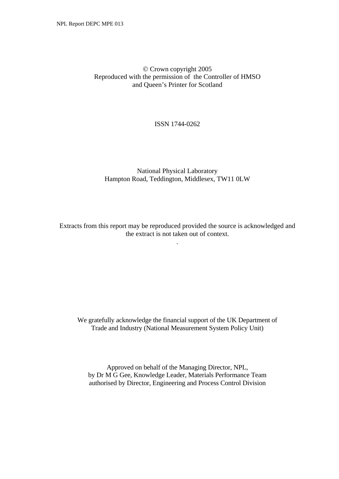## © Crown copyright 2005 Reproduced with the permission of the Controller of HMSO and Queen's Printer for Scotland

## ISSN 1744-0262

## National Physical Laboratory Hampton Road, Teddington, Middlesex, TW11 0LW

Extracts from this report may be reproduced provided the source is acknowledged and the extract is not taken out of context.

.

We gratefully acknowledge the financial support of the UK Department of Trade and Industry (National Measurement System Policy Unit)

Approved on behalf of the Managing Director, NPL, by Dr M G Gee, Knowledge Leader, Materials Performance Team authorised by Director, Engineering and Process Control Division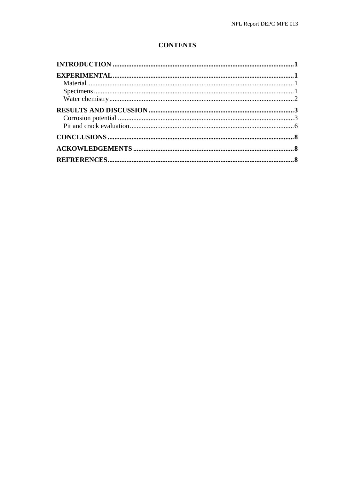# **CONTENTS**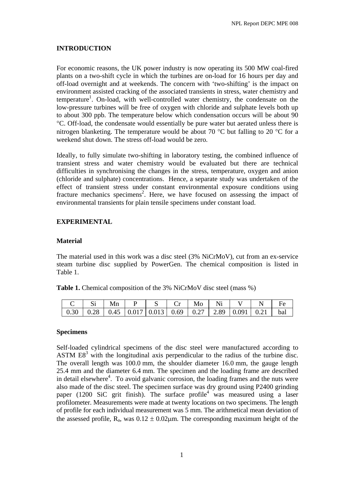## <span id="page-6-0"></span>**INTRODUCTION**

For economic reasons, the UK power industry is now operating its 500 MW coal-fired plants on a two-shift cycle in which the turbines are on-load for 16 hours per day and off-load overnight and at weekends. The concern with 'two-shifting' is the impact on environment assisted cracking of the associated transients in stress, water chemistry and temperature<sup>1</sup>. On-load, with well-controlled water chemistry, the condensate on the low-pressure turbines will be free of oxygen with chloride and sulphate levels both up to about 300 ppb. The temperature below which condensation occurs will be about 90 °C. Off-load, the condensate would essentially be pure water but aerated unless there is nitrogen blanketing. The temperature would be about 70 °C but falling to 20 °C for a weekend shut down. The stress off-load would be zero.

Ideally, to fully simulate two-shifting in laboratory testing, the combined influence of transient stress and water chemistry would be evaluated but there are technical difficulties in synchronising the changes in the stress, temperature, oxygen and anion (chloride and sulphate) concentrations. Hence, a separate study was undertaken of the effect of transient stress under constant environmental exposure conditions using fracture mechanics specimens<sup>2</sup>. Here, we have focused on assessing the impact of environmental transients for plain tensile specimens under constant load.

## **EXPERIMENTAL**

#### **Material**

The material used in this work was a disc steel (3% NiCrMoV), cut from an ex-service steam turbine disc supplied by PowerGen. The chemical composition is listed in Table 1.

| <b>Table 1.</b> Chemical composition of the 3% NiCrMoV disc steel (mass %) |  |  |  |  |  |
|----------------------------------------------------------------------------|--|--|--|--|--|
|----------------------------------------------------------------------------|--|--|--|--|--|

|                                                                                                                              |  | $\mid$ Mn $\mid$ P $\mid$ S $\mid$ Cr $\mid$ Mo $\mid$ i |  | Ni |  |  |
|------------------------------------------------------------------------------------------------------------------------------|--|----------------------------------------------------------|--|----|--|--|
| $\vert 0.30 \vert 0.28 \vert 0.45 \vert 0.017 \vert 0.013 \vert 0.69 \vert 0.27 \vert 2.89 \vert 0.091 \vert 0.21 \vert$ bal |  |                                                          |  |    |  |  |

#### **Specimens**

Self-loaded cylindrical specimens of the disc steel were manufactured according to ASTM  $E8<sup>3</sup>$  with the longitudinal axis perpendicular to the radius of the turbine disc. The overall length was 100.0 mm, the shoulder diameter 16.0 mm, the gauge length 25.4 mm and the diameter 6.4 mm. The specimen and the loading frame are described in detail elsewhere<sup>4</sup>. To avoid galvanic corrosion, the loading frames and the nuts were also made of the disc steel. The specimen surface was dry ground using P2400 grinding paper (1200 SiC grit finish). The surface profile<sup>4</sup> was measured using a laser profilometer. Measurements were made at twenty locations on two specimens. The length of profile for each individual measurement was 5 mm. The arithmetical mean deviation of the assessed profile,  $R_a$ , was  $0.12 \pm 0.02 \mu$ m. The corresponding maximum height of the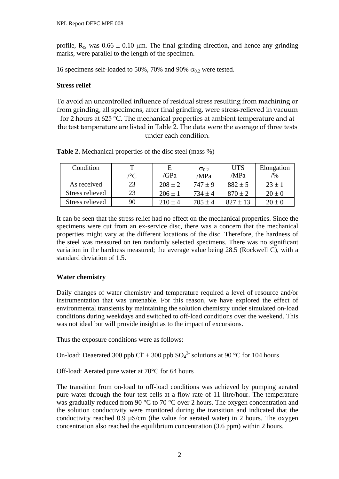<span id="page-7-0"></span>profile,  $R_z$ , was  $0.66 \pm 0.10$  μm. The final grinding direction, and hence any grinding marks, were parallel to the length of the specimen.

16 specimens self-loaded to 50%, 70% and 90%  $\sigma_{0.2}$  were tested.

## **Stress relief**

To avoid an uncontrolled influence of residual stress resulting from machining or from grinding, all specimens, after final grinding, were stress-relieved in vacuum for 2 hours at 625 °C. The mechanical properties at ambient temperature and at the test temperature are listed in Table 2. The data were the average of three tests under each condition.

| Condition       | т                     | E           | $\sigma_{0.2}$ | <b>UTS</b>   | Elongation |
|-----------------|-----------------------|-------------|----------------|--------------|------------|
|                 | $\mathcal{C}^{\circ}$ | /GPa        | /MPa           | /MPa         | $/ \%$     |
| As received     | 23                    | $208 \pm 2$ | $747 \pm 9$    | $882 \pm 5$  | $23 \pm 1$ |
| Stress relieved | 23                    | $206 \pm 1$ | $734 \pm 4$    | $870 \pm 2$  | $20 \pm 0$ |
| Stress relieved | 90                    | $210 \pm 4$ | $705 \pm 4$    | $827 \pm 13$ | $20 \pm 0$ |

**Table 2.** Mechanical properties of the disc steel (mass %)

It can be seen that the stress relief had no effect on the mechanical properties. Since the specimens were cut from an ex-service disc, there was a concern that the mechanical properties might vary at the different locations of the disc. Therefore, the hardness of the steel was measured on ten randomly selected specimens. There was no significant variation in the hardness measured; the average value being 28.5 (Rockwell C), with a standard deviation of 1.5.

## **Water chemistry**

Daily changes of water chemistry and temperature required a level of resource and/or instrumentation that was untenable. For this reason, we have explored the effect of environmental transients by maintaining the solution chemistry under simulated on-load conditions during weekdays and switched to off-load conditions over the weekend. This was not ideal but will provide insight as to the impact of excursions.

Thus the exposure conditions were as follows:

On-load: Deaerated 300 ppb Cl<sup>+</sup> + 300 ppb  $SO_4^2$ <sup>-</sup> solutions at 90 °C for 104 hours

Off-load: Aerated pure water at 70°C for 64 hours

The transition from on-load to off-load conditions was achieved by pumping aerated pure water through the four test cells at a flow rate of 11 litre/hour. The temperature was gradually reduced from 90 °C to 70 °C over 2 hours. The oxygen concentration and the solution conductivity were monitored during the transition and indicated that the conductivity reached 0.9  $\mu$ S/cm (the value for aerated water) in 2 hours. The oxygen concentration also reached the equilibrium concentration (3.6 ppm) within 2 hours.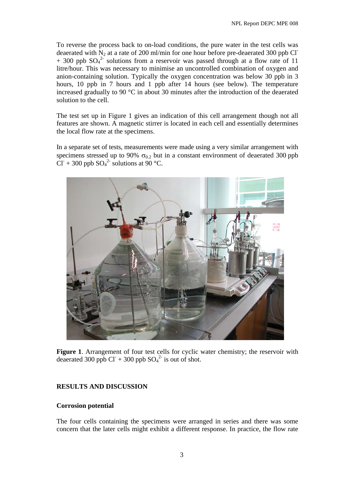<span id="page-8-0"></span>To reverse the process back to on-load conditions, the pure water in the test cells was deaerated with  $N_2$  at a rate of 200 ml/min for one hour before pre-deaerated 300 ppb Cl<sup>-</sup>  $+$  300 ppb SO<sub>4</sub><sup>2</sup> solutions from a reservoir was passed through at a flow rate of 11 litre/hour. This was necessary to minimise an uncontrolled combination of oxygen and anion-containing solution. Typically the oxygen concentration was below 30 ppb in 3 hours, 10 ppb in 7 hours and 1 ppb after 14 hours (see below). The temperature increased gradually to 90 °C in about 30 minutes after the introduction of the deaerated solution to the cell.

The test set up in Figure 1 gives an indication of this cell arrangement though not all features are shown. A magnetic stirrer is located in each cell and essentially determines the local flow rate at the specimens.

In a separate set of tests, measurements were made using a very similar arrangement with specimens stressed up to 90%  $\sigma_{0.2}$  but in a constant environment of deaerated 300 ppb  $\text{CI}^+$  + 300 ppb SO<sub>4</sub><sup>2</sup> solutions at 90 °C.



**Figure 1**. Arrangement of four test cells for cyclic water chemistry; the reservoir with deaerated 300 ppb Cl<sup>-</sup> + 300 ppb  $SO_4^2$ <sup>-</sup> is out of shot.

#### **RESULTS AND DISCUSSION**

#### **Corrosion potential**

The four cells containing the specimens were arranged in series and there was some concern that the later cells might exhibit a different response. In practice, the flow rate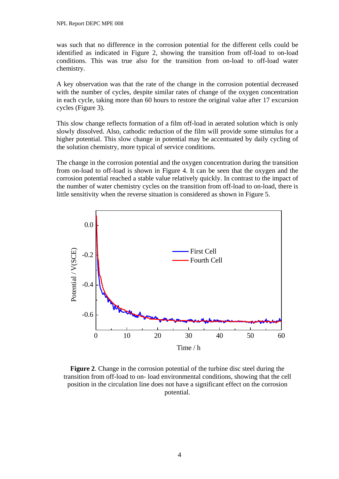was such that no difference in the corrosion potential for the different cells could be identified as indicated in Figure 2, showing the transition from off-load to on-load conditions. This was true also for the transition from on-load to off-load water chemistry.

A key observation was that the rate of the change in the corrosion potential decreased with the number of cycles, despite similar rates of change of the oxygen concentration in each cycle, taking more than 60 hours to restore the original value after 17 excursion cycles (Figure 3).

This slow change reflects formation of a film off-load in aerated solution which is only slowly dissolved. Also, cathodic reduction of the film will provide some stimulus for a higher potential. This slow change in potential may be accentuated by daily cycling of the solution chemistry, more typical of service conditions.

The change in the corrosion potential and the oxygen concentration during the transition from on-load to off-load is shown in Figure 4. It can be seen that the oxygen and the corrosion potential reached a stable value relatively quickly. In contrast to the impact of the number of water chemistry cycles on the transition from off-load to on-load, there is little sensitivity when the reverse situation is considered as shown in Figure 5.



**Figure 2**. Change in the corrosion potential of the turbine disc steel during the transition from off-load to on- load environmental conditions, showing that the cell position in the circulation line does not have a significant effect on the corrosion potential.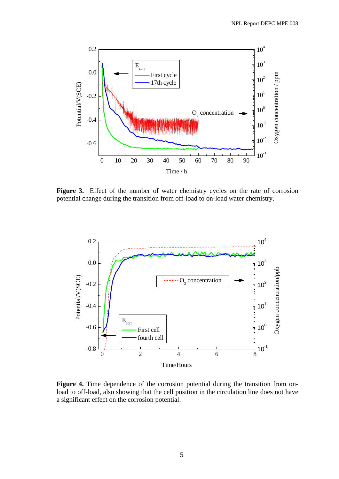

**Figure 3.** Effect of the number of water chemistry cycles on the rate of corrosion potential change during the transition from off-load to on-load water chemistry.



**Figure 4.** Time dependence of the corrosion potential during the transition from onload to off-load, also showing that the cell position in the circulation line does not have a significant effect on the corrosion potential.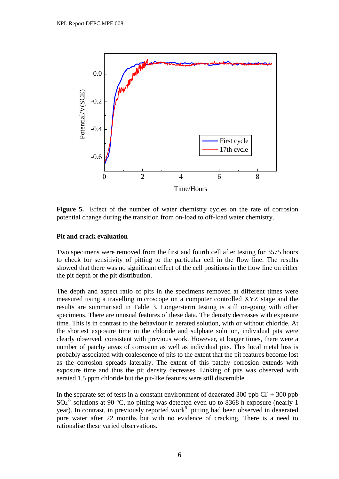<span id="page-11-0"></span>

**Figure 5.** Effect of the number of water chemistry cycles on the rate of corrosion potential change during the transition from on-load to off-load water chemistry.

#### **Pit and crack evaluation**

Two specimens were removed from the first and fourth cell after testing for 3575 hours to check for sensitivity of pitting to the particular cell in the flow line. The results showed that there was no significant effect of the cell positions in the flow line on either the pit depth or the pit distribution.

The depth and aspect ratio of pits in the specimens removed at different times were measured using a travelling microscope on a computer controlled XYZ stage and the results are summarised in Table 3. Longer-term testing is still on-going with other specimens. There are unusual features of these data. The density decreases with exposure time. This is in contrast to the behaviour in aerated solution, with or without chloride. At the shortest exposure time in the chloride and sulphate solution, individual pits were clearly observed, consistent with previous work. However, at longer times, there were a number of patchy areas of corrosion as well as individual pits. This local metal loss is probably associated with coalescence of pits to the extent that the pit features become lost as the corrosion spreads laterally. The extent of this patchy corrosion extends with exposure time and thus the pit density decreases. Linking of pits was observed with aerated 1.5 ppm chloride but the pit-like features were still discernible.

In the separate set of tests in a constant environment of deaerated 300 ppb  $CI + 300$  ppb  $SO_4^2$  solutions at 90 °C, no pitting was detected even up to 8368 h exposure (nearly 1 year). In contrast, in previously reported work<sup>5</sup>, pitting had been observed in deaerated pure water after 22 months but with no evidence of cracking. There is a need to rationalise these varied observations.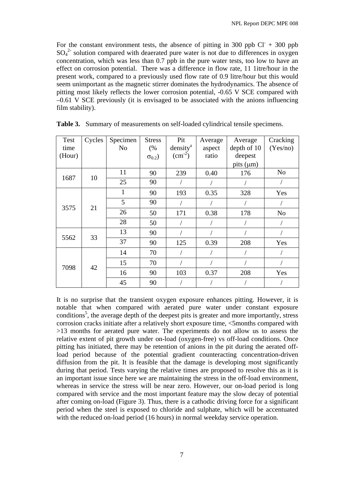For the constant environment tests, the absence of pitting in 300 ppb  $CI + 300$  ppb  $SO_4^2$  solution compared with deaerated pure water is not due to differences in oxygen concentration, which was less than 0.7 ppb in the pure water tests, too low to have an effect on corrosion potential. There was a difference in flow rate, 11 1itre/hour in the present work, compared to a previously used flow rate of 0.9 litre/hour but this would seem unimportant as the magnetic stirrer dominates the hydrodynamics. The absence of pitting most likely reflects the lower corrosion potential, -0.65 V SCE compared with –0.61 V SCE previously (it is envisaged to be associated with the anions influencing film stability).

| Test       | Cycles | Specimen     | <b>Stress</b>    | Pit                  | Average | Average        | Cracking       |
|------------|--------|--------------|------------------|----------------------|---------|----------------|----------------|
| time       |        | No           | (%               | density <sup>a</sup> | aspect  | depth of 10    | (Yes/no)       |
| (Hour)     |        |              | $\sigma_{0.2}$ ) | $\rm (cm^{-2})$      | ratio   | deepest        |                |
|            |        |              |                  |                      |         | pits $(\mu m)$ |                |
| 1687       | 10     | 11           | 90               | 239                  | 0.40    | 176            | N <sub>o</sub> |
|            |        | 25           | 90               |                      |         |                |                |
| 3575<br>21 |        | $\mathbf{1}$ | 90               | 193                  | 0.35    | 328            | Yes            |
|            |        | 5            | 90               |                      |         |                |                |
|            |        | 26           | 50               | 171                  | 0.38    | 178            | N <sub>o</sub> |
|            |        | 28           | 50               |                      |         |                |                |
| 5562       | 33     | 13           | 90               |                      |         |                |                |
|            |        | 37           | 90               | 125                  | 0.39    | 208            | Yes            |
| 7098       | 42     | 14           | 70               |                      |         |                |                |
|            |        | 15           | 70               |                      |         |                |                |
|            |        | 16           | 90               | 103                  | 0.37    | 208            | Yes            |
|            |        | 45           | 90               |                      |         |                |                |

**Table 3.** Summary of measurements on self-loaded cylindrical tensile specimens.

It is no surprise that the transient oxygen exposure enhances pitting. However, it is notable that when compared with aerated pure water under constant exposure conditions<sup>5</sup>, the average depth of the deepest pits is greater and more importantly, stress corrosion cracks initiate after a relatively short exposure time, <5months compared with >13 months for aerated pure water. The experiments do not allow us to assess the relative extent of pit growth under on-load (oxygen-free) vs off-load conditions. Once pitting has initiated, there may be retention of anions in the pit during the aerated offload period because of the potential gradient counteracting concentration-driven diffusion from the pit. It is feasible that the damage is developing most significantly during that period. Tests varying the relative times are proposed to resolve this as it is an important issue since here we are maintaining the stress in the off-load environment, whereas in service the stress will be near zero. However, our on-load period is long compared with service and the most important feature may the slow decay of potential after coming on-load (Figure 3). Thus, there is a cathodic driving force for a significant period when the steel is exposed to chloride and sulphate, which will be accentuated with the reduced on-load period (16 hours) in normal weekday service operation.